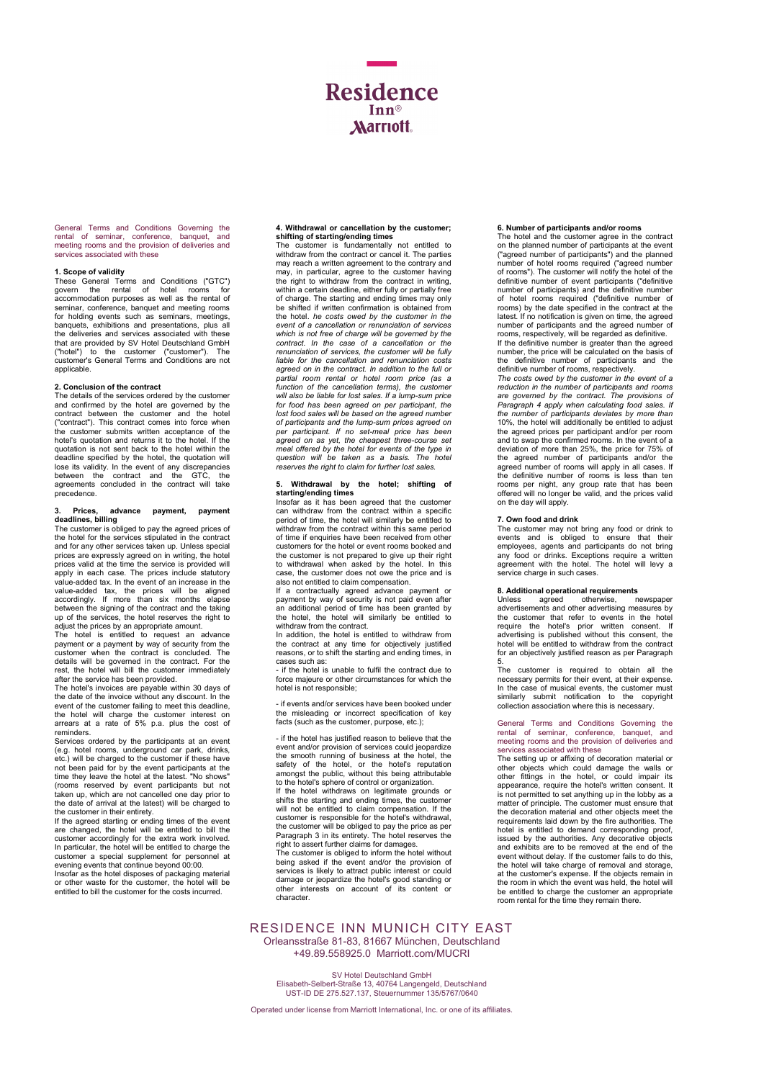

General Terms and Conditions Governing the rental of seminar, conference, banquet, and meeting rooms and the provision of deliveries and services associated with these

**1. Scope of validity**<br>These General Terms and Conditions ("GTC") govern the rental of hotel rooms for accommodation purposes as well as the rental of seminar, conference, banquet and meeting rooms<br>for holding events such as seminars, meetings,<br>banquets, exhibitions and presentations, plus all<br>the deliveries and services associated with these that are provided by SV Hotel Deutschland GmbH ("hotel") to the customer ("customer"). The customer's General Terms and Conditions are not applicable.

## 2. Conclusion of the contract

The details of the services ordered by the customer and confirmed by the hotel are governed by the contract between the customer and the hotel ("contract"). This contract comes into force when the customer submits written acceptance of the hotel's quotation and returns it to the hotel. If the quotation is not sent back to the hotel within the deadline specified by the hotel, the quotation will lose its validity. In the event of any discrepancies between the contract and the GTC, the agreements concluded in the contract will take precedence.

# 3. Prices, advance payment, payment deadlines, billing

The customer is obliged to pay the agreed prices of the hotel for the services stipulated in the contract and for any other services taken up. Unless special prices are expressly agreed on in writing, the hotel prices valid at the time the service is provided will apply in each case. The prices include statutory value-added tax. In the event of an increase in the value-added tax, the prices will be aligned accordingly. If more than six months elapse between the signing of the contract and the taking up of the services, the hotel r

The hotel is entitled to request an advance payment or a payment by way of security from the customer when the contract is concluded. The details will be governed in the contract. For the rest, the hotel will bill the customer immediately

after the service has been provided. The hotel's invoices are payable within 30 days of the date of the invoice without any discount. In the event of the customer failing to meet this deadline, the hotel will charge the customer interest on arrears at a rate of 5% p.a. plus the cost of reminders.

Services ordered by the participants at an event (e.g. hotel rooms, underground car park, drinks, etc.) will be charged to the customer if these have not been paid for by the event participants at the time they leave the hotel at the latest. "No shows" (rooms reserved by event participants but not taken up, which are not cancelled one day prior to the date of arrival at the latest) will be charged to the customer in their entirety.

If the agreed starting or ending times of the event are changed, the hotel will be entitled to bill the customer accordingly for the extra work involved. In particular, the hotel will be entitled to charge the customer a special supplement for personnel at evening events that continue beyond 00:00.

Insofar as the hotel disposes of packaging material or other waste for the customer, the hotel will be entitled to bill the customer for the costs incurred.

# 4. Withdrawal or cancellation by the customer;

shifting of starting/ending times The customer is fundamentally not entitled to withdraw from the contract or cancel it. The parties may reach a written agreement to the contrary and may, in particular, agree to the customer having the right to withdraw from the contract in writing, within a certain deadline, either fully or partially free of charge. The starting and ending times may only be shifted if written confirmation is obtained from<br>the hotel. he costs owed by the customer in the event of a cancellation or renunciation of services which is not free of charge will be governed by the contract. In the case of a cancellation or the renunciation of services, the customer will be fully liable for the cancellation and renunciation costs agreed on in the contract. In addition to the full or partial room rental or hotel room price (as a function of the cancellation terms), the customer will also be liable for lost sales. If a lump-sum price for food has been agreed on per participant, the lost food sales will be based on the agreed number of participants and the lump-sum prices agreed on per participant. If no set-meal price has been agreed on as yet, the cheapest three-course set meal offered by the hotel for events of the type in question will be taken as a basis. The hotel reserves the right to claim for further lost sales.

# 5. Withdrawal by the hotel; shifting of starting/ending times

Insofar as it has been agreed that the customer can withdraw from the contract within a specific period of time, the hotel will similarly be entitled to withdraw from the contract within this same period of time if enquiries have been received from other customers for the hotel or event rooms booked and the customer is not prepared to give up their right to withdrawal when asked by the hotel. In this case, the customer does not owe the price and is

also not entitled to claim compensation.<br>If a contractually agreed advance payment or<br>payment by way of security is not paid even after<br>an additional period of time has been granted by<br>the hotel, the hotel will similarly b withdraw from the contract.

In addition, the hotel is entitled to withdraw from the contract at any time for objectively justified reasons, or to shift the starting and ending times, in cases such as: - if the hotel is unable to fulfil the contract due to

force majeure or other circumstances for which the hotel is not responsible;

- if events and/or services have been booked under the misleading or incorrect specification of key facts (such as the customer, purpose, etc.);

- if the hotel has justified reason to believe that the event and/or provision of services could jeopardize the smooth running of business at the hotel, the safety of the hotel, or the hotel's reputation amongst the public, without this being attributable to the hotel's sphere of control or organization.

If the hotel withdraws on legitimate grounds or shifts the starting and ending times, the customer will not be entitled to claim compensation. If the customer is responsible for the hotel's withdrawal, the customer will be obliged to pay the price as per<br>Paragraph 3 in its entirety. The hotel reserves the<br>right to assert further claims for damages.<br>The customer is obliged to inform the hotel without

being asked if the event and/or the provision of services is likely to attract public interest or could damage or jeopardize the hotel's good standing or other interests on account of its content or other inter<br>character

# RESIDENCE INN MUNICH CITY EAST Orleansstraße 81-83, 81667 München, Deutschland

+49.89.558925.0 Marriott.com/MUCRI

SV Hotel Deutschland GmbH Elisabeth-Selbert-Straße 13, 40764 Langengeld, Deutschland UST-ID DE 275.527.137, Steuernummer 135/5767/0640

### Operated under license from Marriott International, Inc. or one of its affiliates.

### 6. Number of participants and/or rooms

The hotel and the customer agree in the contract on the planned number of participants at the event ("agreed number of participants") and the planned number of hotel rooms required ("agreed number of rooms"). The customer will notify the hotel of the definitive number of event participants ("definitive number of participants) and the definitive number of hotel rooms required ("definitive number of rooms) by the date specified in the contract at the latest. If no notification is given on time, the agreed number of participants and the agreed number of rooms, respectively, will be regarded as definitive.

If the definitive number is greater than the agreed number, the price will be calculated on the basis of the definitive number of participants and the

definitive number of rooms, respectively. The costs owed by the customer in the event of a reduction in the number of participants and rooms are governed by the contract. The provisions of Paragraph 4 apply when calculating food sales. If<br>the number of participants deviates by more than<br>10%, the hotel will additionally be entitled to adjust the agreed prices per participant and/or per room and to swap the confirmed rooms. In the event of a<br>deviation of more than 25%, the price for 75% of<br>the agreed number of participants and/or the<br>agreed number of rooms will apply in all cases. If<br>the definitive number of r rooms per night, any group rate that has been offered will no longer be valid, and the prices valid on the day will apply.

7. Own food and drink The customer may not bring any food or drink to events and is obliged to ensure that their employees, agents and participants do not bring any food or drinks. Exceptions require a written agreement with the hotel. The hotel will levy a service charge in such cases.

# 8. Additional operational requirements

Unless agreed otherwise, newspaper advertisements and other advertising measures by the customer that refer to events in the hotel<br>require the hotel's prior written consent. If<br>advertising is published without this consent, the<br>hotel will be entitled to withdraw from the contract for an objectively justified reason as per Paragraph

5. The customer is required to obtain all the necessary permits for their event, at their expense.<br>In the case of musical events, the customer must<br>similarly submit notification to the copyright<br>collection association where this is necessary.

# General Terms and Conditions Governing the rental of seminar, conference, banquet, and meeting rooms and the provision of deliveries and services associated with these

The setting up or affixing of decoration material or other objects which could damage the walls or other fittings in the hotel, or could impair its appearance, require the hotel's written consent. It is not permitted to set anything up in the lobby as a matter of principle. The customer must ensure that the decoration material and other objects meet the requirements laid down by the fire authorities. The hotel is entitled to demand corresponding proof, issued by the authorities. Any decorative objects and exhibits are to be removed at the end of the event without delay. If the customer fails to do this, the hotel will take charge of removal and storage, at the customer's expense. If the objects remain in the room in which the event was held, the hotel will be entitled to charge the customer an appropriate room rental for the time they remain there.